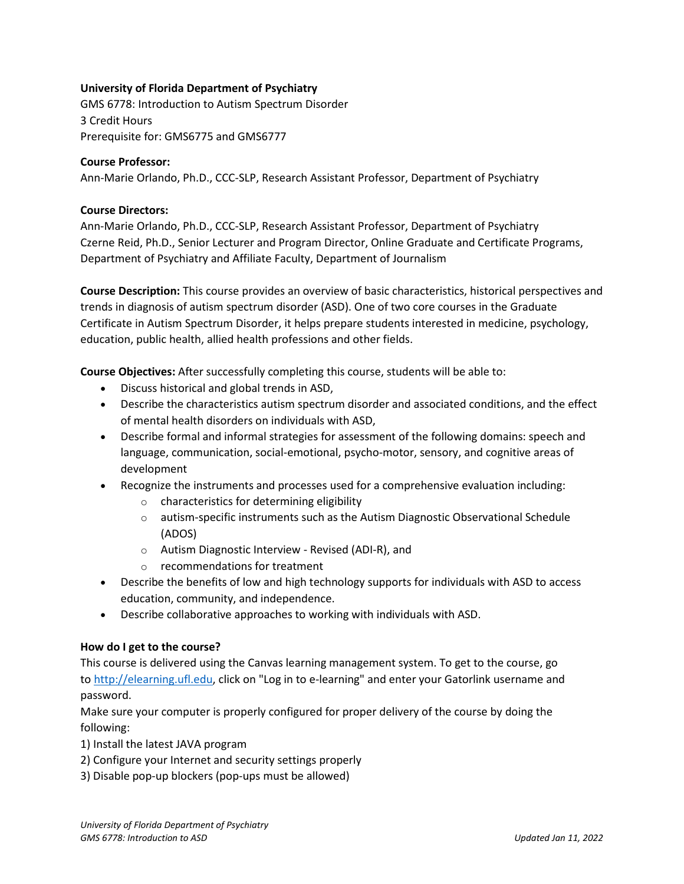## **University of Florida Department of Psychiatry**

GMS 6778: Introduction to Autism Spectrum Disorder 3 Credit Hours Prerequisite for: GMS6775 and GMS6777

### **Course Professor:**

Ann-Marie Orlando, Ph.D., CCC-SLP, Research Assistant Professor, Department of Psychiatry

## **Course Directors:**

Ann-Marie Orlando, Ph.D., CCC-SLP, Research Assistant Professor, Department of Psychiatry Czerne Reid, Ph.D., Senior Lecturer and Program Director, Online Graduate and Certificate Programs, Department of Psychiatry and Affiliate Faculty, Department of Journalism

**Course Description:** This course provides an overview of basic characteristics, historical perspectives and trends in diagnosis of autism spectrum disorder (ASD). One of two core courses in the Graduate Certificate in Autism Spectrum Disorder, it helps prepare students interested in medicine, psychology, education, public health, allied health professions and other fields.

**Course Objectives:** After successfully completing this course, students will be able to:

- Discuss historical and global trends in ASD,
- Describe the characteristics autism spectrum disorder and associated conditions, and the effect of mental health disorders on individuals with ASD,
- Describe formal and informal strategies for assessment of the following domains: speech and language, communication, social-emotional, psycho-motor, sensory, and cognitive areas of development
- Recognize the instruments and processes used for a comprehensive evaluation including:
	- o characteristics for determining eligibility
	- $\circ$  autism-specific instruments such as the Autism Diagnostic Observational Schedule (ADOS)
	- o Autism Diagnostic Interview Revised (ADI-R), and
	- o recommendations for treatment
- Describe the benefits of low and high technology supports for individuals with ASD to access education, community, and independence.
- Describe collaborative approaches to working with individuals with ASD.

### **How do I get to the course?**

This course is delivered using the Canvas learning management system. To get to the course, go to [http://elearning.ufl.edu,](http://elearning.ufl.edu/) click on "Log in to e-learning" and enter your Gatorlink username and password.

Make sure your computer is properly configured for proper delivery of the course by doing the following:

- 1) Install the latest JAVA program
- 2) Configure your Internet and security settings properly
- 3) Disable pop-up blockers (pop-ups must be allowed)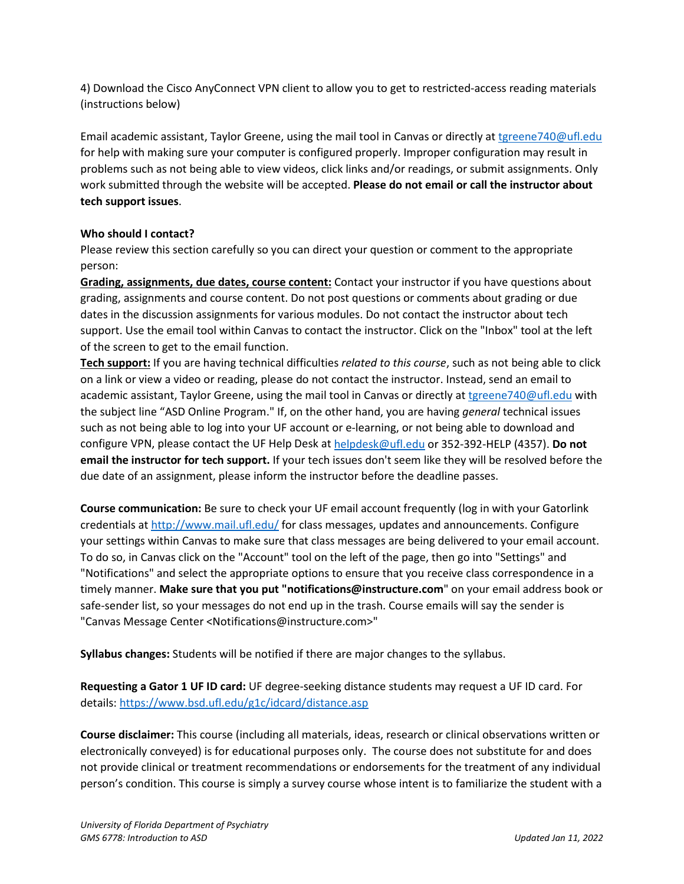4) Download the Cisco AnyConnect VPN client to allow you to get to restricted-access reading materials (instructions below)

Email academic assistant, Taylor Greene, using the mail tool in Canvas or directly at [tgreene740@ufl.edu](mailto:tgreene740@ufl.edu) for help with making sure your computer is configured properly. Improper configuration may result in problems such as not being able to view videos, click links and/or readings, or submit assignments. Only work submitted through the website will be accepted. **Please do not email or call the instructor about tech support issues**.

## **Who should I contact?**

Please review this section carefully so you can direct your question or comment to the appropriate person:

**Grading, assignments, due dates, course content:** Contact your instructor if you have questions about grading, assignments and course content. Do not post questions or comments about grading or due dates in the discussion assignments for various modules. Do not contact the instructor about tech support. Use the email tool within Canvas to contact the instructor. Click on the "Inbox" tool at the left of the screen to get to the email function.

**Tech support:** If you are having technical difficulties *related to this course*, such as not being able to click on a link or view a video or reading, please do not contact the instructor. Instead, send an email to academic assistant, Taylor Greene, using the mail tool in Canvas or directly at [tgreene740@ufl.edu](mailto:tgreene740@ufl.edu) with the subject line "ASD Online Program." If, on the other hand, you are having *general* technical issues such as not being able to log into your UF account or e-learning, or not being able to download and configure VPN, please contact the UF Help Desk at [helpdesk@ufl.edu](mailto:helpdesk@ufl.edu) or 352-392-HELP (4357). **Do not email the instructor for tech support.** If your tech issues don't seem like they will be resolved before the due date of an assignment, please inform the instructor before the deadline passes.

**Course communication:** Be sure to check your UF email account frequently (log in with your Gatorlink credentials at [http://www.mail.ufl.edu/](http://www.mail.ufl.edu/)) for class messages, updates and announcements. Configure your settings within Canvas to make sure that class messages are being delivered to your email account. To do so, in Canvas click on the "Account" tool on the left of the page, then go into "Settings" and "Notifications" and select the appropriate options to ensure that you receive class correspondence in a timely manner. **Make sure that you put "notifications@instructure.com**" on your email address book or safe-sender list, so your messages do not end up in the trash. Course emails will say the sender is "Canvas Message Center <Notifications@instructure.com>"

**Syllabus changes:** Students will be notified if there are major changes to the syllabus.

**Requesting a Gator 1 UF ID card:** UF degree-seeking distance students may request a UF ID card. For details:<https://www.bsd.ufl.edu/g1c/idcard/distance.asp>

**Course disclaimer:** This course (including all materials, ideas, research or clinical observations written or electronically conveyed) is for educational purposes only. The course does not substitute for and does not provide clinical or treatment recommendations or endorsements for the treatment of any individual person's condition. This course is simply a survey course whose intent is to familiarize the student with a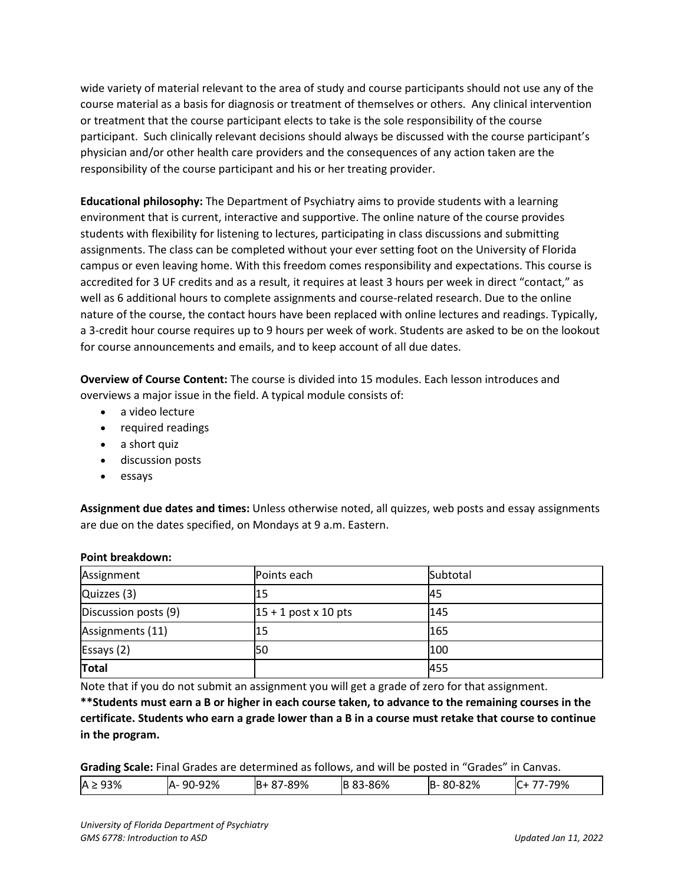wide variety of material relevant to the area of study and course participants should not use any of the course material as a basis for diagnosis or treatment of themselves or others. Any clinical intervention or treatment that the course participant elects to take is the sole responsibility of the course participant. Such clinically relevant decisions should always be discussed with the course participant's physician and/or other health care providers and the consequences of any action taken are the responsibility of the course participant and his or her treating provider.

**Educational philosophy:** The Department of Psychiatry aims to provide students with a learning environment that is current, interactive and supportive. The online nature of the course provides students with flexibility for listening to lectures, participating in class discussions and submitting assignments. The class can be completed without your ever setting foot on the University of Florida campus or even leaving home. With this freedom comes responsibility and expectations. This course is accredited for 3 UF credits and as a result, it requires at least 3 hours per week in direct "contact," as well as 6 additional hours to complete assignments and course-related research. Due to the online nature of the course, the contact hours have been replaced with online lectures and readings. Typically, a 3-credit hour course requires up to 9 hours per week of work. Students are asked to be on the lookout for course announcements and emails, and to keep account of all due dates.

**Overview of Course Content:** The course is divided into 15 modules. Each lesson introduces and overviews a major issue in the field. A typical module consists of:

- a video lecture
- required readings
- a short quiz
- discussion posts
- essays

**Assignment due dates and times:** Unless otherwise noted, all quizzes, web posts and essay assignments are due on the dates specified, on Mondays at 9 a.m. Eastern.

#### **Point breakdown:**

| Assignment           | Points each            | Subtotal |
|----------------------|------------------------|----------|
| Quizzes (3)          | 15                     | 145      |
| Discussion posts (9) | $15 + 1$ post x 10 pts | 145      |
| Assignments (11)     | 15                     | 165      |
| Essays $(2)$         | 50                     | 100      |
| Total                |                        | 455      |

Note that if you do not submit an assignment you will get a grade of zero for that assignment.

**\*\*Students must earn a B or higher in each course taken, to advance to the remaining courses in the certificate. Students who earn a grade lower than a B in a course must retake that course to continue in the program.**

**Grading Scale:** Final Grades are determined as follows, and will be posted in "Grades" in Canvas.

| 93%<br><b>ΙΑ</b> : | 12%<br>90-9<br>A. | 89%<br>ıв | 86%<br>ı<br>ш. | 82%<br>IB.<br>ou-o | 79%<br>. |
|--------------------|-------------------|-----------|----------------|--------------------|----------|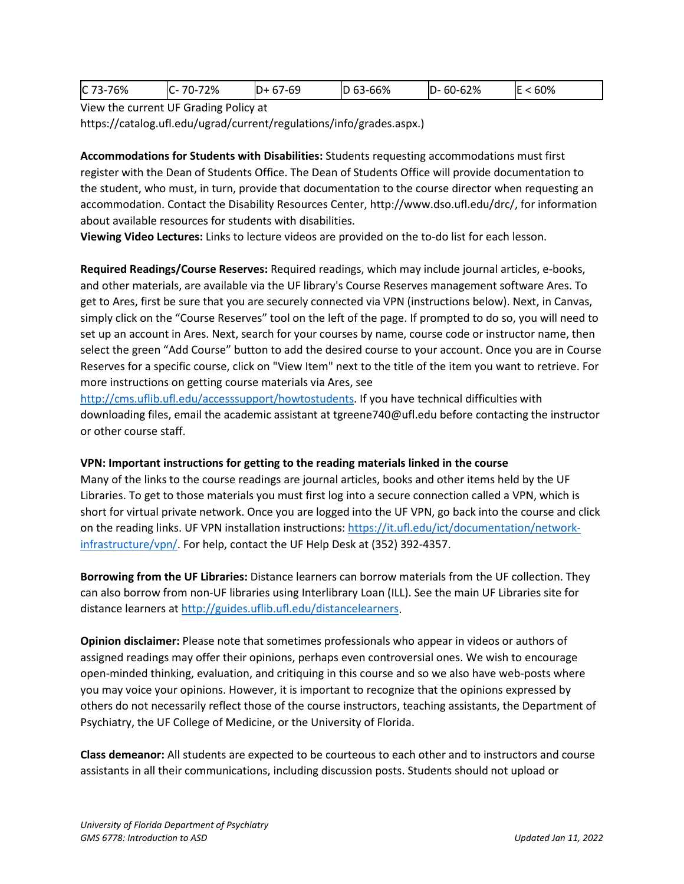| 60%<br>60-62%<br>$63-66\%$<br>73-76%<br>C <sub>73</sub><br>72%<br>7-69<br>ᢇ<br>IE<br>ID-<br>IC.<br><br>$\epsilon$ 1 $\pm$<br>ட<br>ப<br>ັັ |  |
|-------------------------------------------------------------------------------------------------------------------------------------------|--|
|-------------------------------------------------------------------------------------------------------------------------------------------|--|

View the current UF Grading Policy at

https://catalog.ufl.edu/ugrad/current/regulations/info/grades.aspx.)

**Accommodations for Students with Disabilities:** Students requesting accommodations must first register with the Dean of Students Office. The Dean of Students Office will provide documentation to the student, who must, in turn, provide that documentation to the course director when requesting an accommodation. Contact the Disability Resources Center, http://www.dso.ufl.edu/drc/, for information about available resources for students with disabilities.

**Viewing Video Lectures:** Links to lecture videos are provided on the to-do list for each lesson.

**Required Readings/Course Reserves:** Required readings, which may include journal articles, e-books, and other materials, are available via the UF library's Course Reserves management software Ares. To get to Ares, first be sure that you are securely connected via VPN (instructions below). Next, in Canvas, simply click on the "Course Reserves" tool on the left of the page. If prompted to do so, you will need to set up an account in Ares. Next, search for your courses by name, course code or instructor name, then select the green "Add Course" button to add the desired course to your account. Once you are in Course Reserves for a specific course, click on "View Item" next to the title of the item you want to retrieve. For more instructions on getting course materials via Ares, see

[http://cms.uflib.ufl.edu/accesssupport/howtostudents.](http://cms.uflib.ufl.edu/accesssupport/howtostudents) If you have technical difficulties with downloading files, email the academic assistant at tgreene740@ufl.edu before contacting the instructor or other course staff.

### **VPN: Important instructions for getting to the reading materials linked in the course**

Many of the links to the course readings are journal articles, books and other items held by the UF Libraries. To get to those materials you must first log into a secure connection called a VPN, which is short for virtual private network. Once you are logged into the UF VPN, go back into the course and click on the reading links. UF VPN installation instructions[: https://it.ufl.edu/ict/documentation/network](https://it.ufl.edu/ict/documentation/network-infrastructure/vpn/)[infrastructure/vpn/.](https://it.ufl.edu/ict/documentation/network-infrastructure/vpn/) For help, contact the UF Help Desk at (352) 392-4357.

**Borrowing from the UF Libraries:** Distance learners can borrow materials from the UF collection. They can also borrow from non-UF libraries using Interlibrary Loan (ILL). See the main UF Libraries site for distance learners at [http://guides.uflib.ufl.edu/distancelearners.](http://guides.uflib.ufl.edu/distancelearners)

**Opinion disclaimer:** Please note that sometimes professionals who appear in videos or authors of assigned readings may offer their opinions, perhaps even controversial ones. We wish to encourage open-minded thinking, evaluation, and critiquing in this course and so we also have web-posts where you may voice your opinions. However, it is important to recognize that the opinions expressed by others do not necessarily reflect those of the course instructors, teaching assistants, the Department of Psychiatry, the UF College of Medicine, or the University of Florida.

**Class demeanor:** All students are expected to be courteous to each other and to instructors and course assistants in all their communications, including discussion posts. Students should not upload or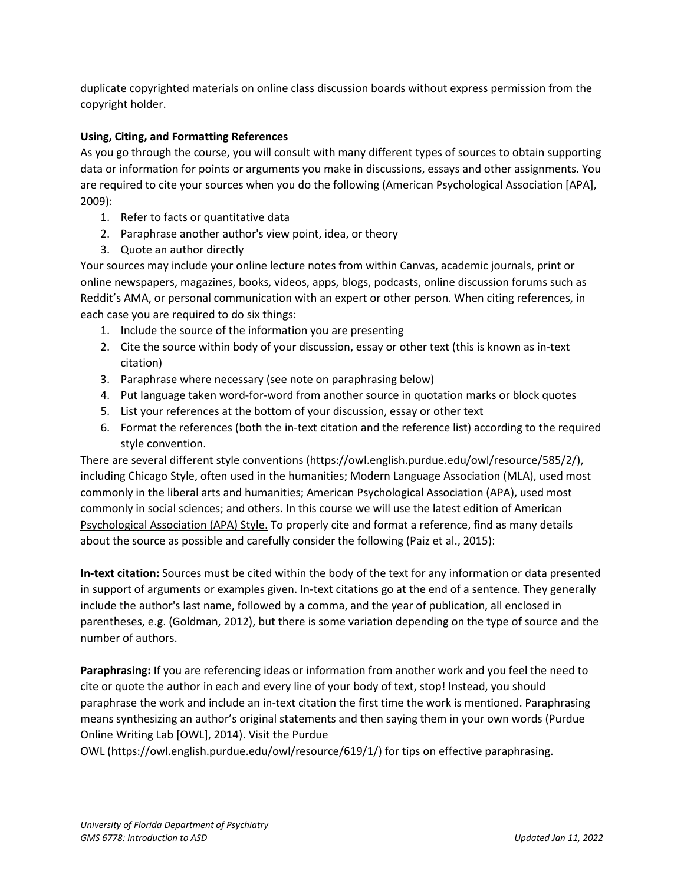duplicate copyrighted materials on online class discussion boards without express permission from the copyright holder.

# **Using, Citing, and Formatting References**

As you go through the course, you will consult with many different types of sources to obtain supporting data or information for points or arguments you make in discussions, essays and other assignments. You are required to cite your sources when you do the following (American Psychological Association [APA], 2009):

- 1. Refer to facts or quantitative data
- 2. Paraphrase another author's view point, idea, or theory
- 3. Quote an author directly

Your sources may include your online lecture notes from within Canvas, academic journals, print or online newspapers, magazines, books, videos, apps, blogs, podcasts, online discussion forums such as Reddit's AMA, or personal communication with an expert or other person. When citing references, in each case you are required to do six things:

- 1. Include the source of the information you are presenting
- 2. Cite the source within body of your discussion, essay or other text (this is known as in-text citation)
- 3. Paraphrase where necessary (see note on paraphrasing below)
- 4. Put language taken word-for-word from another source in quotation marks or block quotes
- 5. List your references at the bottom of your discussion, essay or other text
- 6. Format the references (both the in-text citation and the reference list) according to the required style convention.

There are several different style conventions (https://owl.english.purdue.edu/owl/resource/585/2/), including Chicago Style, often used in the humanities; Modern Language Association (MLA), used most commonly in the liberal arts and humanities; American Psychological Association (APA), used most commonly in social sciences; and others. In this course we will use the latest edition of American Psychological Association (APA) Style. To properly cite and format a reference, find as many details about the source as possible and carefully consider the following (Paiz et al., 2015):

**In-text citation:** Sources must be cited within the body of the text for any information or data presented in support of arguments or examples given. In-text citations go at the end of a sentence. They generally include the author's last name, followed by a comma, and the year of publication, all enclosed in parentheses, e.g. (Goldman, 2012), but there is some variation depending on the type of source and the number of authors.

**Paraphrasing:** If you are referencing ideas or information from another work and you feel the need to cite or quote the author in each and every line of your body of text, stop! Instead, you should paraphrase the work and include an in-text citation the first time the work is mentioned. Paraphrasing means synthesizing an author's original statements and then saying them in your own words (Purdue Online Writing Lab [OWL], 2014). Visit the Purdue

OWL (https://owl.english.purdue.edu/owl/resource/619/1/) for tips on effective paraphrasing.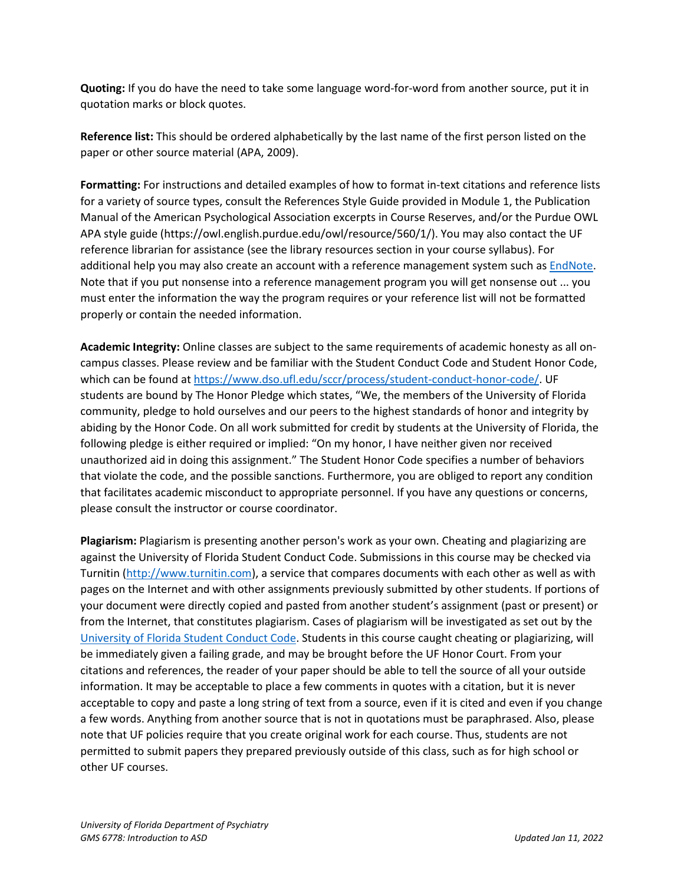**Quoting:** If you do have the need to take some language word-for-word from another source, put it in quotation marks or block quotes.

**Reference list:** This should be ordered alphabetically by the last name of the first person listed on the paper or other source material (APA, 2009).

**Formatting:** For instructions and detailed examples of how to format in-text citations and reference lists for a variety of source types, consult the References Style Guide provided in Module 1, the Publication Manual of the American Psychological Association excerpts in Course Reserves, and/or the Purdue OWL APA style guide (https://owl.english.purdue.edu/owl/resource/560/1/). You may also contact the UF reference librarian for assistance (see the library resources section in your course syllabus). For additional help you may also create an account with a reference management system such as [EndNote.](https://guides.uflib.ufl.edu/endnote) Note that if you put nonsense into a reference management program you will get nonsense out ... you must enter the information the way the program requires or your reference list will not be formatted properly or contain the needed information.

**Academic Integrity:** Online classes are subject to the same requirements of academic honesty as all oncampus classes. Please review and be familiar with the Student Conduct Code and Student Honor Code, which can be found a[t https://www.dso.ufl.edu/sccr/process/student-conduct-honor-code/.](https://www.dso.ufl.edu/sccr/process/student-conduct-honor-code/) UF students are bound by The Honor Pledge which states, "We, the members of the University of Florida community, pledge to hold ourselves and our peers to the highest standards of honor and integrity by abiding by the Honor Code. On all work submitted for credit by students at the University of Florida, the following pledge is either required or implied: "On my honor, I have neither given nor received unauthorized aid in doing this assignment." The Student Honor Code specifies a number of behaviors that violate the code, and the possible sanctions. Furthermore, you are obliged to report any condition that facilitates academic misconduct to appropriate personnel. If you have any questions or concerns, please consult the instructor or course coordinator.

**Plagiarism:** Plagiarism is presenting another person's work as your own. Cheating and plagiarizing are against the University of Florida Student Conduct Code. Submissions in this course may be checked via Turnitin [\(http://www.turnitin.com\)](http://www.turnitin.com/), a service that compares documents with each other as well as with pages on the Internet and with other assignments previously submitted by other students. If portions of your document were directly copied and pasted from another student's assignment (past or present) or from the Internet, that constitutes plagiarism. Cases of plagiarism will be investigated as set out by the [University of Florida Student Conduct Code.](https://sccr.dso.ufl.edu/) Students in this course caught cheating or plagiarizing, will be immediately given a failing grade, and may be brought before the UF Honor Court. From your citations and references, the reader of your paper should be able to tell the source of all your outside information. It may be acceptable to place a few comments in quotes with a citation, but it is never acceptable to copy and paste a long string of text from a source, even if it is cited and even if you change a few words. Anything from another source that is not in quotations must be paraphrased. Also, please note that UF policies require that you create original work for each course. Thus, students are not permitted to submit papers they prepared previously outside of this class, such as for high school or other UF courses.